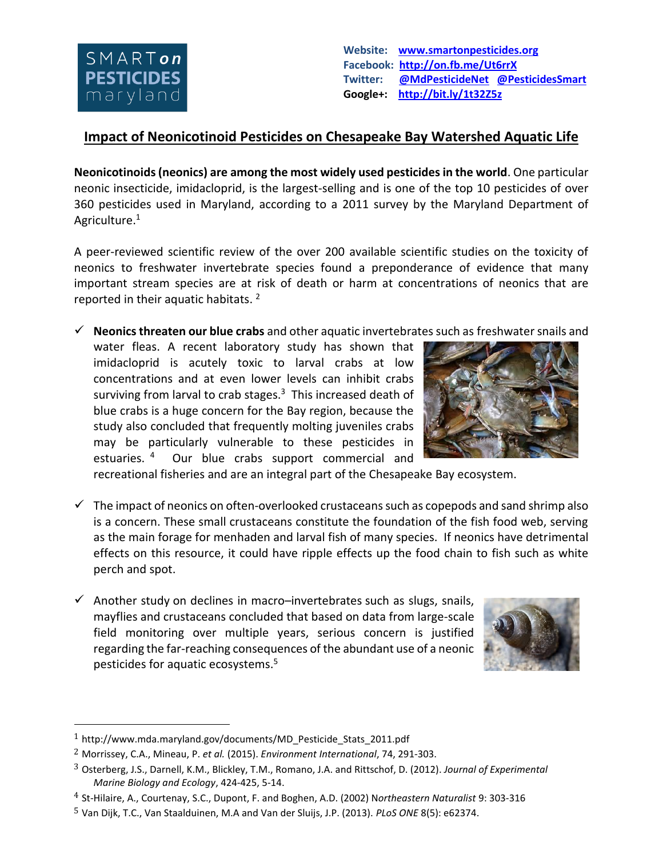

**Website: [www.smartonpesticides.org](http://www.smartonpesticides.org/) Facebook: <http://on.fb.me/Ut6rrX> Twitter: [@MdPesticideNet](http://twitter.com/MdPesticideNet) [@PesticidesSmart](http://twitter.com/PesticidesSmart)  Google+: <http://bit.ly/1t32Z5z>**

## **Impact of Neonicotinoid Pesticides on Chesapeake Bay Watershed Aquatic Life**

**Neonicotinoids (neonics) are among the most widely used pesticides in the world**. One particular neonic insecticide, imidacloprid, is the largest-selling and is one of the top 10 pesticides of over 360 pesticides used in Maryland, according to a 2011 survey by the Maryland Department of Agriculture.<sup>1</sup>

A peer-reviewed scientific review of the over 200 available scientific studies on the toxicity of neonics to freshwater invertebrate species found a preponderance of evidence that many important stream species are at risk of death or harm at concentrations of neonics that are reported in their aquatic habitats. 2

**Neonics threaten our blue crabs** and other aquatic invertebrates such as freshwater snails and

water fleas. A recent laboratory study has shown that imidacloprid is acutely toxic to larval crabs at low concentrations and at even lower levels can inhibit crabs surviving from larval to crab stages.<sup>3</sup> This increased death of blue crabs is a huge concern for the Bay region, because the study also concluded that frequently molting juveniles crabs may be particularly vulnerable to these pesticides in estuaries. <sup>4</sup> Our blue crabs support commercial and



recreational fisheries and are an integral part of the Chesapeake Bay ecosystem.

- $\checkmark$  The impact of neonics on often-overlooked crustaceans such as copepods and sand shrimp also is a concern. These small crustaceans constitute the foundation of the fish food web, serving as the main forage for menhaden and larval fish of many species. If neonics have detrimental effects on this resource, it could have ripple effects up the food chain to fish such as white perch and spot.
- $\checkmark$  Another study on declines in macro-invertebrates such as slugs, snails, mayflies and crustaceans concluded that based on data from large-scale field monitoring over multiple years, serious concern is justified regarding the far-reaching consequences of the abundant use of a neonic pesticides for aquatic ecosystems.<sup>5</sup>



 $\overline{a}$ 

<sup>1</sup> [http://www.mda.maryland.gov/documents/MD\\_Pesticide\\_Stats\\_2011.pdf](http://www.mda.maryland.gov/documents/MD_Pesticide_Stats_2011.pdf)

<sup>2</sup> Morrissey, C.A., Mineau, P. *et al.* (2015). *Environment International*, 74, 291-303.

<sup>3</sup> Osterberg, J.S., Darnell, K.M., Blickley, T.M., Romano, J.A. and Rittschof, D. (2012). *Journal of Experimental Marine Biology and Ecology*, 424-425, 5-14.

<sup>4</sup> St-Hilaire, A., Courtenay, S.C., Dupont, F. and Boghen, A.D. (2002) N*ortheastern Naturalist* 9: 303-316

<sup>5</sup> Van Dijk, T.C., Van Staalduinen, M.A and Van der Sluijs, J.P. (2013). *PLoS ONE* 8(5): e62374.